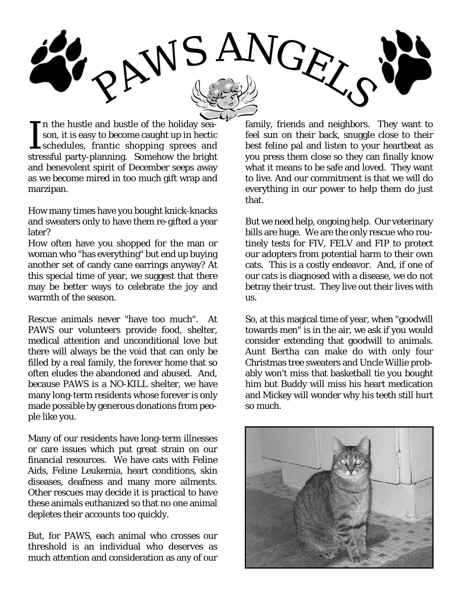

In the hustle and bustle of the holiday season, it is easy to become caught up in hectic schedules, frantic shopping sprees and stressful party-planning. Somehow the bright n the hustle and bustle of the holiday season, it is easy to become caught up in hectic schedules, frantic shopping sprees and and benevolent spirit of December seeps away as we become mired in too much gift wrap and marzipan.

How many times have you bought knick-knacks and sweaters only to have them re-gifted a year later?

How often have you shopped for the man or woman who "has everything" but end up buying another set of candy cane earrings anyway? At this special time of year, we suggest that there may be better ways to celebrate the joy and warmth of the season.

Rescue animals never "have too much". At PAWS our volunteers provide food, shelter, medical attention and unconditional love but there will always be the void that can only be filled by a real family, the forever home that so often eludes the abandoned and abused. And, because PAWS is a NO-KILL shelter, we have many long-term residents whose forever is only made possible by generous donations from people like you.

Many of our residents have long-term illnesses or care issues which put great strain on our financial resources. We have cats with Feline Aids, Feline Leukemia, heart conditions, skin diseases, deafness and many more ailments. Other rescues may decide it is practical to have these animals euthanized so that no one animal depletes their accounts too quickly.

But, for PAWS, each animal who crosses our threshold is an individual who deserves as much attention and consideration as any of our

family, friends and neighbors. They want to feel sun on their back, snuggle close to their best feline pal and listen to your heartbeat as you press them close so they can finally know what it means to be safe and loved. They want to live. And our commitment is that we will do everything in our power to help them do just that.

But we need help, ongoing help. Our veterinary bills are huge. We are the only rescue who routinely tests for FIV, FELV and FIP to protect our adopters from potential harm to their own cats. This is a costly endeavor. And, if one of our cats is diagnosed with a disease, we do not betray their trust. They live out their lives with us.

So, at this magical time of year, when "goodwill towards men" is in the air, we ask if you would consider extending that goodwill to animals. Aunt Bertha can make do with only four Christmas tree sweaters and Uncle Willie probably won't miss that basketball tie you bought him but Buddy will miss his heart medication and Mickey will wonder why his teeth still hurt so much.

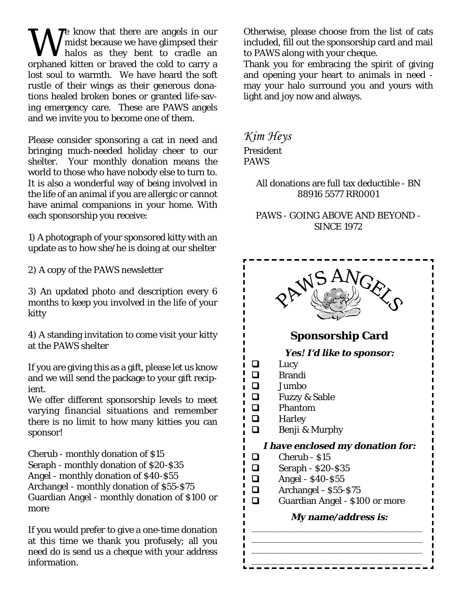We know that there are angels in our<br>halos as they bent to cradle an midst because we have glimpsed their halos as they bent to cradle an orphaned kitten or braved the cold to carry a lost soul to warmth. We have heard the soft rustle of their wings as their generous donations healed broken bones or granted life-saving emergency care. These are PAWS angels and we invite you to become one of them.

Please consider sponsoring a cat in need and bringing much-needed holiday cheer to our shelter. Your monthly donation means the world to those who have nobody else to turn to. It is also a wonderful way of being involved in the life of an animal if you are allergic or cannot have animal companions in your home. With each sponsorship you receive:

1) A photograph of your sponsored kitty with an update as to how she/he is doing at our shelter

2) A copy of the PAWS newsletter

3) An updated photo and description every 6 months to keep you involved in the life of your kitty

4) A standing invitation to come visit your kitty at the PAWS shelter

If you are giving this as a gift, please let us know and we will send the package to your gift recipient.

We offer different sponsorship levels to meet varying financial situations and remember there is no limit to how many kitties you can sponsor!

Cherub - monthly donation of \$15 Seraph - monthly donation of \$20-\$35 Angel - monthly donation of \$40-\$55 Archangel - monthly donation of \$55-\$75 Guardian Angel - monthly donation of \$100 or more

If you would prefer to give a one-time donation at this time we thank you profusely; all you need do is send us a cheque with your address information.

Otherwise, please choose from the list of cats included, fill out the sponsorship card and mail to PAWS along with your cheque.

Thank you for embracing the spirit of giving and opening your heart to animals in need may your halo surround you and yours with light and joy now and always.

*Kim Heys* President PAWS

> All donations are full tax deductible - BN 88916 5577 RR0001

> PAWS - GOING ABOVE AND BEYOND - SINCE 1972

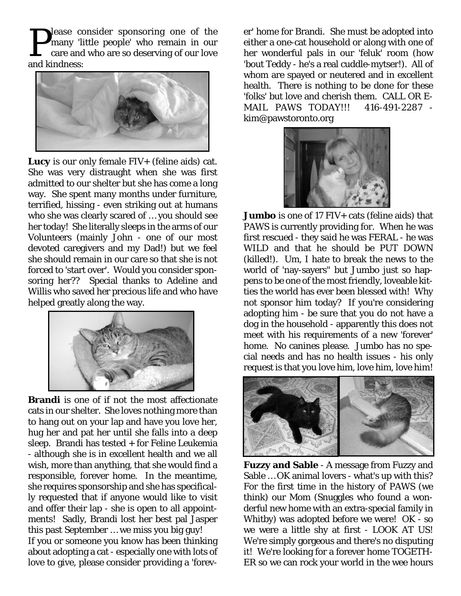**P**lease consider sponsoring one of the<br>care and who are so deserving of our love<br>and kindness: many 'little people' who remain in our care and who are so deserving of our love and kindness:



**Lucy** is our only female FIV+ (feline aids) cat. She was very distraught when she was first admitted to our shelter but she has come a long way. She spent many months under furniture, terrified, hissing - even striking out at humans who she was clearly scared of … you should see her today! She literally sleeps in the arms of our Volunteers (mainly John - one of our most devoted caregivers and my Dad!) but we feel she should remain in our care so that she is not forced to 'start over'. Would you consider sponsoring her?? Special thanks to Adeline and Willis who saved her precious life and who have helped greatly along the way.



**Brandi** is one of if not the most affectionate cats in our shelter. She loves nothing more than to hang out on your lap and have you love her, hug her and pat her until she falls into a deep sleep. Brandi has tested + for Feline Leukemia - although she is in excellent health and we all wish, more than anything, that she would find a responsible, forever home. In the meantime, she requires sponsorship and she has specifically requested that if anyone would like to visit and offer their lap - she is open to all appointments! Sadly, Brandi lost her best pal Jasper this past September … we miss you big guy! If you or someone you know has been thinking about adopting a cat - especially one with lots of love to give, please consider providing a 'forev-

er' home for Brandi. She must be adopted into either a one-cat household or along with one of her wonderful pals in our 'feluk' room (how 'bout Teddy - he's a real cuddle-mytser!). All of whom are spayed or neutered and in excellent health. There is nothing to be done for these 'folks' but love and cherish them. CALL OR E-MAIL PAWS TODAY!!! 416-491-2287 kim@pawstoronto.org



**Jumbo** is one of 17 FIV+ cats (feline aids) that PAWS is currently providing for. When he was first rescued - they said he was FERAL - he was WILD and that he should be PUT DOWN (killed!). Um, I hate to break the news to the world of 'nay-sayers" but Jumbo just so happens to be one of the most friendly, loveable kitties the world has ever been blessed with! Why not sponsor him today? If you're considering adopting him - be sure that you do not have a dog in the household - apparently this does not meet with his requirements of a new 'forever' home. No canines please. Jumbo has no special needs and has no health issues - his only request is that you love him, love him, love him!



**Fuzzy and Sable** - A message from Fuzzy and Sable … OK animal lovers - what's up with this? For the first time in the history of PAWS (we think) our Mom (Snuggles who found a wonderful new home with an extra-special family in Whitby) was adopted before we were! OK - so we were a little shy at first - LOOK AT US! We're simply gorgeous and there's no disputing it! We're looking for a forever home TOGETH-ER so we can rock your world in the wee hours